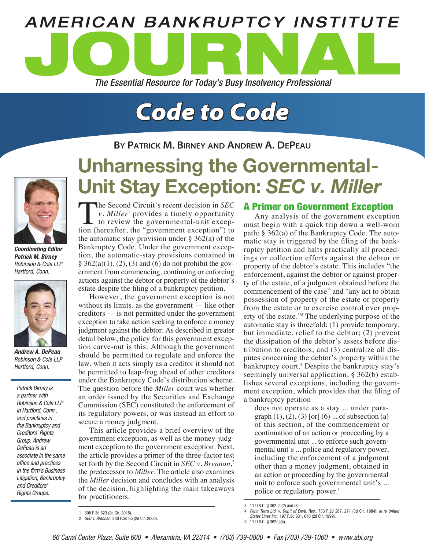

# *Code to Code*

**By Patrick M. Birney and Andrew A. DePeau**



*Coordinating Editor Patrick M. Birney Robinson & Cole LLP Hartford, Conn.*



*Andrew A. DePeau Robinson & Cole LLP Hartford, Conn.*

*Patrick Birney is a partner with Robinson & Cole LLP in Hartford, Conn., and practices in the Bankruptcy and Creditors' Rights Group. Andrew DePeau is an associate in the same office and practices in the firm's Business Litigation, Bankruptcy and Creditors' Rights Groups.* 

# Unharnessing the Governmental-Unit Stay Exception: *SEC v. Miller*

The Second Circuit's recent decision in *SEC v. Miller*<sup>1</sup> provides a timely opportunity  $\mathsf{\mathsf{L}}$  to review the governmental-unit exception (hereafter, the "government exception") to the automatic stay provision under  $\S 362(a)$  of the Bankruptcy Code. Under the government exception, the automatic-stay provisions contained in  $\S 362(a)(1), (2), (3)$  and (6) do not prohibit the government from commencing, continuing or enforcing actions against the debtor or property of the debtor's estate despite the filing of a bankruptcy petition.

However, the government exception is not without its limits, as the government — like other creditors — is not permitted under the government exception to take action seeking to enforce a money judgment against the debtor. As described in greater detail below, the policy for this government exception carve-out is this: Although the government should be permitted to regulate and enforce the law, when it acts simply as a creditor it should not be permitted to leap-frog ahead of other creditors under the Bankruptcy Code's distribution scheme. The question before the *Miller* court was whether an order issued by the Securities and Exchange Commission (SEC) constituted the enforcement of its regulatory powers, or was instead an effort to secure a money judgment.

This article provides a brief overview of the government exception, as well as the money-judgment exception to the government exception. Next, the article provides a primer of the three-factor test set forth by the Second Circuit in *SEC v. Brennan*, 2 the predecessor to *Miller*. The article also examines the *Miller* decision and concludes with an analysis of the decision, highlighting the main takeaways for practitioners.

# A Primer on Government Exception

Any analysis of the government exception must begin with a quick trip down a well-worn path: § 362(a) of the Bankruptcy Code. The automatic stay is triggered by the filing of the bankruptcy petition and halts practically all proceedings or collection efforts against the debtor or property of the debtor's estate. This includes "the enforcement, against the debtor or against property of the estate, of a judgment obtained before the commencement of the case" and "any act to obtain possession of property of the estate or property from the estate or to exercise control over property of the estate."3 The underlying purpose of the automatic stay is threefold: (1) provide temporary, but immediate, relief to the debtor; (2) prevent the dissipation of the debtor's assets before distribution to creditors; and (3) centralize all disputes concerning the debtor's property within the bankruptcy court.4 Despite the bankruptcy stay's seemingly universal application, § 362(b) establishes several exceptions, including the government exception, which provides that the filing of a bankruptcy petition

does not operate as a stay ... under paragraph  $(1)$ ,  $(2)$ ,  $(3)$  [or]  $(6)$  ... of subsection  $(a)$ of this section, of the commencement or continuation of an action or proceeding by a governmental unit ... to enforce such governmental unit's ... police and regulatory power, including the enforcement of a judgment other than a money judgment, obtained in an action or proceeding by the governmental unit to enforce such governmental unit's ... police or regulatory power.<sup>5</sup>

3 11 U.S.C. § 362 (a)(2) and (3).

<sup>1</sup> 808 F.3d 623 (2d Cir. 2015).

<sup>2</sup> *SEC v. Brennan*, 230 F.3d 65 (2d Cir. 2000).

<sup>4</sup> *Penn Terra Ltd. v. Dep't of Envtl. Res.*, 733 F.2d 267, 271 (3d Cir. 1984); *In re United States Lines Inc.*, 197 F.3d 631, 640 (2d Cir. 1999).

<sup>5</sup> 11 U.S.C. § 362(b)(4).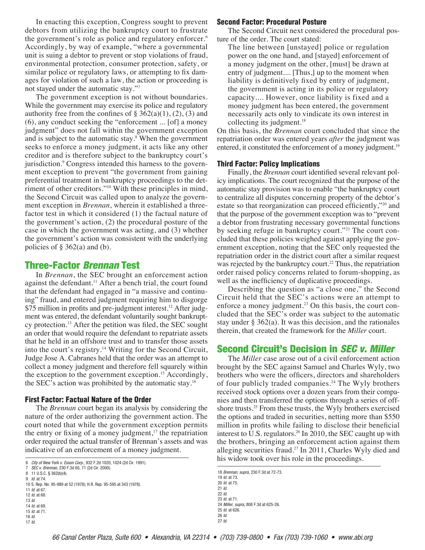In enacting this exception, Congress sought to prevent debtors from utilizing the bankruptcy court to frustrate the government's role as police and regulatory enforcer.<sup>6</sup> Accordingly, by way of example, "where a governmental unit is suing a debtor to prevent or stop violations of fraud, environmental protection, consumer protection, safety, or similar police or regulatory laws, or attempting to fix damages for violation of such a law, the action or proceeding is not stayed under the automatic stay."7

The government exception is not without boundaries. While the government may exercise its police and regulatory authority free from the confines of  $\S 362(a)(1)$ , (2), (3) and (6), any conduct seeking the "enforcement ... [of] a money judgment" does not fall within the government exception and is subject to the automatic stay.<sup>8</sup> When the government seeks to enforce a money judgment, it acts like any other creditor and is therefore subject to the bankruptcy court's jurisdiction.<sup>9</sup> Congress intended this harness to the government exception to prevent "the government from gaining preferential treatment in bankruptcy proceedings to the detriment of other creditors."10 With these principles in mind, the Second Circuit was called upon to analyze the government exception in *Brennan*, wherein it established a threefactor test in which it considered (1) the factual nature of the government's action, (2) the procedural posture of the case in which the government was acting, and (3) whether the government's action was consistent with the underlying policies of  $\S 362(a)$  and (b).

## Three-Factor *Brennan* Test

In *Brennan*, the SEC brought an enforcement action against the defendant.<sup>11</sup> After a bench trial, the court found that the defendant had engaged in "a massive and continuing" fraud, and entered judgment requiring him to disgorge \$75 million in profits and pre-judgment interest.<sup>12</sup> After judgment was entered, the defendant voluntarily sought bankruptcy protection.13 After the petition was filed, the SEC sought an order that would require the defendant to repatriate assets that he held in an offshore trust and to transfer those assets into the court's registry.<sup>14</sup> Writing for the Second Circuit, Judge Jose A. Cabranes held that the order was an attempt to collect a money judgment and therefore fell squarely within the exception to the government exception.<sup>15</sup> Accordingly, the SEC's action was prohibited by the automatic stay.16

#### First Factor: Factual Nature of the Order

The *Brennan* court began its analysis by considering the nature of the order authorizing the government action. The court noted that while the government exception permits the entry or fixing of a money judgment, $17$  the repatriation order required the actual transfer of Brennan's assets and was indicative of an enforcement of a money judgment.

7 *SEC v. Brennan*, 230 F.3d 65, 71 (2d Cir. 2000). 8 11 U.S.C. § 362(b)(4).

9 *Id*. at 74.

10 S. Rep. No. 95-989 at 52 (1978); H.R. Rep. 95-595 at 343 (1978).

- 11 *Id*. at 67.
- 12 *Id*. at 68. 13 *Id*.
- 14 *Id*. at 69.
- 15 *Id*. at 71.
- 16 *Id*. 17 *Id*.

#### Second Factor: Procedural Posture

The Second Circuit next considered the procedural posture of the order. The court stated:

The line between [unstayed] police or regulation power on the one hand, and [stayed] enforcement of a money judgment on the other, [must] be drawn at entry of judgment.... [Thus,] up to the moment when liability is definitively fixed by entry of judgment, the government is acting in its police or regulatory capacity.... However, once liability is fixed and a money judgment has been entered, the government necessarily acts only to vindicate its own interest in collecting its judgment. $18$ 

On this basis, the *Brennan* court concluded that since the repatriation order was entered years *after* the judgment was entered, it constituted the enforcement of a money judgment.<sup>19</sup>

#### Third Factor: Policy Implications

Finally, the *Brennan* court identified several relevant policy implications. The court recognized that the purpose of the automatic stay provision was to enable "the bankruptcy court to centralize all disputes concerning property of the debtor's estate so that reorganization can proceed efficiently,"20 and that the purpose of the government exception was to "prevent a debtor from frustrating necessary governmental functions by seeking refuge in bankruptcy court."<sup>21</sup> The court concluded that these policies weighed against applying the government exception, noting that the SEC only requested the repatriation order in the district court after a similar request was rejected by the bankruptcy court.<sup>22</sup> Thus, the repatriation order raised policy concerns related to forum-shopping, as well as the inefficiency of duplicative proceedings.

Describing the question as "a close one," the Second Circuit held that the SEC's actions were an attempt to enforce a money judgment.<sup>23</sup> On this basis, the court concluded that the SEC's order was subject to the automatic stay under § 362(a). It was this decision, and the rationales therein, that created the framework for the *Miller* court.

# Second Circuit's Decision in *SEC v. Miller*

The *Miller* case arose out of a civil enforcement action brought by the SEC against Samuel and Charles Wyly, two brothers who were the officers, directors and shareholders of four publicly traded companies.24 The Wyly brothers received stock options over a dozen years from their companies and then transferred the options through a series of offshore trusts.<sup>25</sup> From these trusts, the Wyly brothers exercised the options and traded in securities, netting more than \$550 million in profits while failing to disclose their beneficial interest to U.S. regulators.<sup>26</sup> In 2010, the SEC caught up with the brothers, bringing an enforcement action against them alleging securities fraud.<sup>27</sup> In 2011, Charles Wyly died and **his widow took over his role in the proceedings.** his widow took over his role in the proceedings.

> *Brennan*, *supra*, 230 F.3d at 72-73. *Id*. at 73. *Id*. at 75. 21 *Id*. 22 *Id*. *Id*. at 71. *Miller*, *supra*, 808 F.3d at 625-26. *Id*. at 626. 26 *Id*.

27 *Id*.